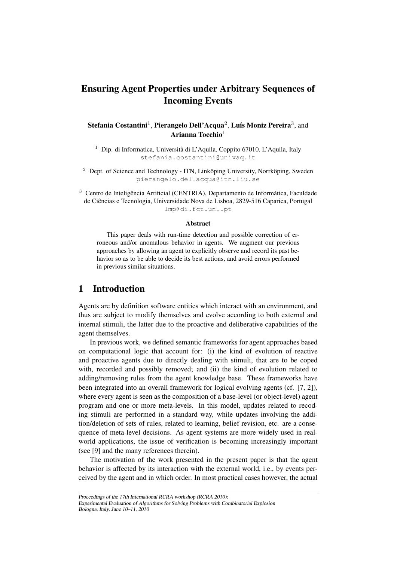# Ensuring Agent Properties under Arbitrary Sequences of Incoming Events

 $\bf{Stefania Costantini^1, Picrange}$ lo  $\bf{Dell'Acqua^2, Luís Moniz Pereira^3, and}$ Arianna Tocchio $1$ 

<sup>1</sup> Dip. di Informatica, Università di L'Aquila, Coppito 67010, L'Aquila, Italy stefania.costantini@univaq.it

 $2$  Dept. of Science and Technology - ITN, Linköping University, Norrköping, Sweden pierangelo.dellacqua@itn.liu.se

<sup>3</sup> Centro de Inteligência Artificial (CENTRIA), Departamento de Informática, Faculdade de Ciencias e Tecnologia, Universidade Nova de Lisboa, 2829-516 Caparica, Portugal ˆ lmp@di.fct.unl.pt

#### Abstract

This paper deals with run-time detection and possible correction of erroneous and/or anomalous behavior in agents. We augment our previous approaches by allowing an agent to explicitly observe and record its past behavior so as to be able to decide its best actions, and avoid errors performed in previous similar situations.

# 1 Introduction

Agents are by definition software entities which interact with an environment, and thus are subject to modify themselves and evolve according to both external and internal stimuli, the latter due to the proactive and deliberative capabilities of the agent themselves.

In previous work, we defined semantic frameworks for agent approaches based on computational logic that account for: (i) the kind of evolution of reactive and proactive agents due to directly dealing with stimuli, that are to be coped with, recorded and possibly removed; and (ii) the kind of evolution related to adding/removing rules from the agent knowledge base. These frameworks have been integrated into an overall framework for logical evolving agents (cf. [7, 2]), where every agent is seen as the composition of a base-level (or object-level) agent program and one or more meta-levels. In this model, updates related to recoding stimuli are performed in a standard way, while updates involving the addition/deletion of sets of rules, related to learning, belief revision, etc. are a consequence of meta-level decisions. As agent systems are more widely used in realworld applications, the issue of verification is becoming increasingly important (see [9] and the many references therein).

The motivation of the work presented in the present paper is that the agent behavior is affected by its interaction with the external world, i.e., by events perceived by the agent and in which order. In most practical cases however, the actual

Proceedings of the 17th International RCRA workshop (RCRA 2010):

Experimental Evaluation of Algorithms for Solving Problems with Combinatorial Explosion Bologna, Italy, June 10–11, 2010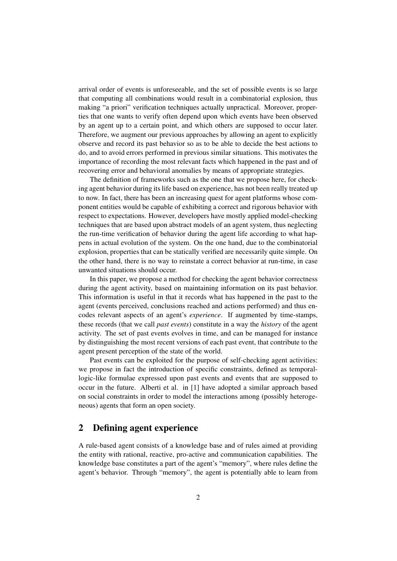arrival order of events is unforeseeable, and the set of possible events is so large that computing all combinations would result in a combinatorial explosion, thus making "a priori" verification techniques actually unpractical. Moreover, properties that one wants to verify often depend upon which events have been observed by an agent up to a certain point, and which others are supposed to occur later. Therefore, we augment our previous approaches by allowing an agent to explicitly observe and record its past behavior so as to be able to decide the best actions to do, and to avoid errors performed in previous similar situations. This motivates the importance of recording the most relevant facts which happened in the past and of recovering error and behavioral anomalies by means of appropriate strategies.

The definition of frameworks such as the one that we propose here, for checking agent behavior during its life based on experience, has not been really treated up to now. In fact, there has been an increasing quest for agent platforms whose component entities would be capable of exhibiting a correct and rigorous behavior with respect to expectations. However, developers have mostly applied model-checking techniques that are based upon abstract models of an agent system, thus neglecting the run-time verification of behavior during the agent life according to what happens in actual evolution of the system. On the one hand, due to the combinatorial explosion, properties that can be statically verified are necessarily quite simple. On the other hand, there is no way to reinstate a correct behavior at run-time, in case unwanted situations should occur.

In this paper, we propose a method for checking the agent behavior correctness during the agent activity, based on maintaining information on its past behavior. This information is useful in that it records what has happened in the past to the agent (events perceived, conclusions reached and actions performed) and thus encodes relevant aspects of an agent's *experience*. If augmented by time-stamps, these records (that we call *past events*) constitute in a way the *history* of the agent activity. The set of past events evolves in time, and can be managed for instance by distinguishing the most recent versions of each past event, that contribute to the agent present perception of the state of the world.

Past events can be exploited for the purpose of self-checking agent activities: we propose in fact the introduction of specific constraints, defined as temporallogic-like formulae expressed upon past events and events that are supposed to occur in the future. Alberti et al. in [1] have adopted a similar approach based on social constraints in order to model the interactions among (possibly heterogeneous) agents that form an open society.

### 2 Defining agent experience

A rule-based agent consists of a knowledge base and of rules aimed at providing the entity with rational, reactive, pro-active and communication capabilities. The knowledge base constitutes a part of the agent's "memory", where rules define the agent's behavior. Through "memory", the agent is potentially able to learn from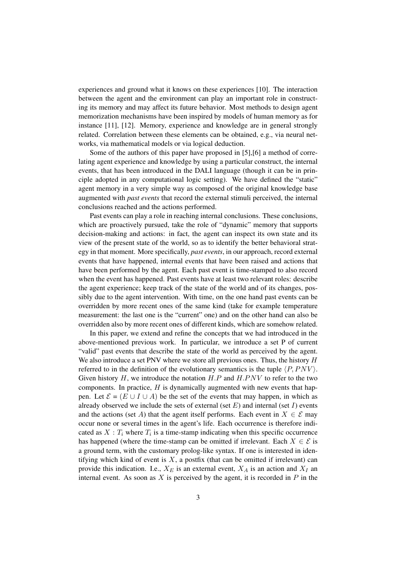experiences and ground what it knows on these experiences [10]. The interaction between the agent and the environment can play an important role in constructing its memory and may affect its future behavior. Most methods to design agent memorization mechanisms have been inspired by models of human memory as for instance [11], [12]. Memory, experience and knowledge are in general strongly related. Correlation between these elements can be obtained, e.g., via neural networks, via mathematical models or via logical deduction.

Some of the authors of this paper have proposed in [5],[6] a method of correlating agent experience and knowledge by using a particular construct, the internal events, that has been introduced in the DALI language (though it can be in principle adopted in any computational logic setting). We have defined the "static" agent memory in a very simple way as composed of the original knowledge base augmented with *past events* that record the external stimuli perceived, the internal conclusions reached and the actions performed.

Past events can play a role in reaching internal conclusions. These conclusions, which are proactively pursued, take the role of "dynamic" memory that supports decision-making and actions: in fact, the agent can inspect its own state and its view of the present state of the world, so as to identify the better behavioral strategy in that moment. More specifically, *past events*, in our approach, record external events that have happened, internal events that have been raised and actions that have been performed by the agent. Each past event is time-stamped to also record when the event has happened. Past events have at least two relevant roles: describe the agent experience; keep track of the state of the world and of its changes, possibly due to the agent intervention. With time, on the one hand past events can be overridden by more recent ones of the same kind (take for example temperature measurement: the last one is the "current" one) and on the other hand can also be overridden also by more recent ones of different kinds, which are somehow related.

In this paper, we extend and refine the concepts that we had introduced in the above-mentioned previous work. In particular, we introduce a set P of current "valid" past events that describe the state of the world as perceived by the agent. We also introduce a set PNV where we store all previous ones. Thus, the history H referred to in the definition of the evolutionary semantics is the tuple  $\langle P, P N V \rangle$ . Given history  $H$ , we introduce the notation  $H.P$  and  $H.PNV$  to refer to the two components. In practice,  $H$  is dynamically augmented with new events that happen. Let  $\mathcal{E} = (E \cup I \cup A)$  be the set of the events that may happen, in which as already observed we include the sets of external (set  $E$ ) and internal (set I) events and the actions (set A) that the agent itself performs. Each event in  $X \in \mathcal{E}$  may occur none or several times in the agent's life. Each occurrence is therefore indicated as  $X: T_i$  where  $T_i$  is a time-stamp indicating when this specific occurrence has happened (where the time-stamp can be omitted if irrelevant. Each  $X \in \mathcal{E}$  is a ground term, with the customary prolog-like syntax. If one is interested in identifying which kind of event is  $X$ , a postfix (that can be omitted if irrelevant) can provide this indication. I.e.,  $X_E$  is an external event,  $X_A$  is an action and  $X_I$  an internal event. As soon as  $X$  is perceived by the agent, it is recorded in  $P$  in the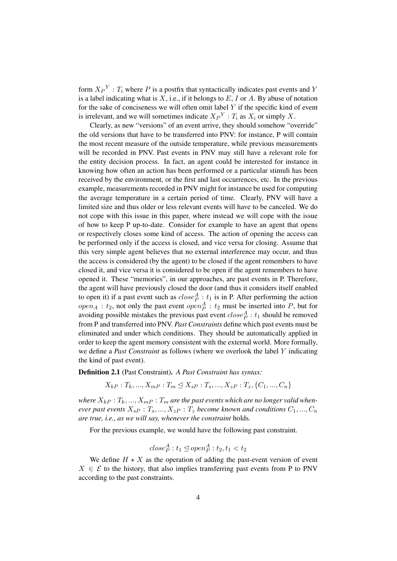form  $X_P^Y$ :  $T_i$  where P is a postfix that syntactically indicates past events and Y is a label indicating what is  $X$ , i.e., if it belongs to  $E$ ,  $I$  or  $A$ . By abuse of notation for the sake of conciseness we will often omit label  $Y$  if the specific kind of event is irrelevant, and we will sometimes indicate  $X_P^Y : T_i$  as  $X_i$  or simply X.

Clearly, as new "versions" of an event arrive, they should somehow "override" the old versions that have to be transferred into PNV: for instance, P will contain the most recent measure of the outside temperature, while previous measurements will be recorded in PNV. Past events in PNV may still have a relevant role for the entity decision process. In fact, an agent could be interested for instance in knowing how often an action has been performed or a particular stimuli has been received by the environment, or the first and last occurrences, etc. In the previous example, measurements recorded in PNV might for instance be used for computing the average temperature in a certain period of time. Clearly, PNV will have a limited size and thus older or less relevant events will have to be canceled. We do not cope with this issue in this paper, where instead we will cope with the issue of how to keep P up-to-date. Consider for example to have an agent that opens or respectively closes some kind of access. The action of opening the access can be performed only if the access is closed, and vice versa for closing. Assume that this very simple agent believes that no external interference may occur, and thus the access is considered (by the agent) to be closed if the agent remembers to have closed it, and vice versa it is considered to be open if the agent remembers to have opened it. These "memories", in our approaches, are past events in P. Therefore, the agent will have previously closed the door (and thus it considers itself enabled to open it) if a past event such as  $close_P^A: t_1$  is in P. After performing the action  $open_A : t_2$ , not only the past event  $open^A_P : t_2$  must be inserted into P, but for avoiding possible mistakes the previous past event  $close_p^A : t_1$  should be removed from P and transferred into PNV. *Past Constraints* define which past events must be eliminated and under which conditions. They should be automatically applied in order to keep the agent memory consistent with the external world. More formally, we define a *Past Constraint* as follows (where we overlook the label Y indicating the kind of past event).

Definition 2.1 (Past Constraint). *A Past Constraint has syntax:*

 $X_{k,P}: T_k, ..., X_{m,P}: T_m \trianglelefteq X_{s,P}: T_s, ..., X_{zP}: T_z, \{C_1, ..., C_n\}$ 

where  $X_{kP}$ :  $T_k$ , ...,  $X_{mP}$ :  $T_m$  are the past events which are no longer valid when*ever past events*  $X_{sP}: T_s, ..., X_{zP}: T_z$  *become known and conditions*  $C_1, ..., C_n$ *are true, i.e., as we will say, whenever the constraint* holds*.*

For the previous example, we would have the following past constraint.

$$
close_P^A: t_1 \trianglelefteq open_P^A: t_2, t_1 < t_2
$$

We define  $H \star X$  as the operation of adding the past-event version of event  $X \in \mathcal{E}$  to the history, that also implies transferring past events from P to PNV according to the past constraints.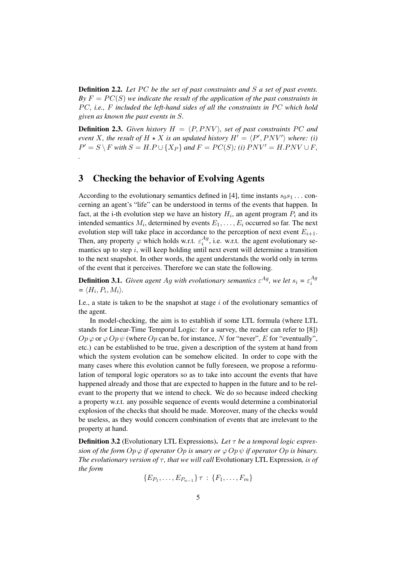**Definition 2.2.** Let PC be the set of past constraints and S a set of past events.  $By F = PC(S)$  *we indicate the result of the application of the past constraints in* PC, i.e., F included the left-hand sides of all the constraints in PC which hold *given as known the past events in* S*.*

**Definition 2.3.** Given history  $H = \langle P, P N V \rangle$ , set of past constraints PC and *event* X, the result of  $H \star X$  is an updated history  $H' = \langle P', PNV' \rangle$  where: (i)  $P' = S \setminus F$  *with*  $S = H.P \cup \{X_P\}$  *and*  $F = PC(S)$ *; (i)*  $PNV' = H.PNV \cup F$ *, .*

### 3 Checking the behavior of Evolving Agents

According to the evolutionary semantics defined in [4], time instants  $s_0s_1 \dots$  concerning an agent's "life" can be understood in terms of the events that happen. In fact, at the i-th evolution step we have an history  $H_i$ , an agent program  $P_i$  and its intended semantics  $M_i$ , determined by events  $E_1, \ldots, E_i$  occurred so far. The next evolution step will take place in accordance to the perception of next event  $E_{i+1}$ . Then, any property  $\varphi$  which holds w.r.t.  $\varepsilon_i^{Ag}$  $i<sup>A</sup>$ , i.e. w.r.t. the agent evolutionary semantics up to step  $i$ , will keep holding until next event will determine a transition to the next snapshot. In other words, the agent understands the world only in terms of the event that it perceives. Therefore we can state the following.

**Definition 3.1.** *Given agent Ag with evolutionary semantics*  $\varepsilon^{Ag}$ , we let  $s_i = \varepsilon_i^{Ag}$ i  $= \langle H_i, P_i, M_i \rangle.$ 

I.e., a state is taken to be the snapshot at stage  $i$  of the evolutionary semantics of the agent.

In model-checking, the aim is to establish if some LTL formula (where LTL stands for Linear-Time Temporal Logic: for a survey, the reader can refer to [8])  $Op \varphi$  or  $\varphi Op \psi$  (where  $Op$  can be, for instance, N for "never", E for "eventually", etc.) can be established to be true, given a description of the system at hand from which the system evolution can be somehow elicited. In order to cope with the many cases where this evolution cannot be fully foreseen, we propose a reformulation of temporal logic operators so as to take into account the events that have happened already and those that are expected to happen in the future and to be relevant to the property that we intend to check. We do so because indeed checking a property w.r.t. any possible sequence of events would determine a combinatorial explosion of the checks that should be made. Moreover, many of the checks would be useless, as they would concern combination of events that are irrelevant to the property at hand.

Definition 3.2 (Evolutionary LTL Expressions). *Let* τ *be a temporal logic expression of the form*  $Op \varphi$  *if operator*  $Op$  *is unary or*  $\varphi$   $Op \psi$  *if operator*  $Op$  *is binary. The evolutionary version of*  $τ$ , *that we will call* Evolutionary LTL Expression, *is of the form*

$$
\{E_{P_1},\ldots,E_{P_{n-1}}\}\,\tau\,:\,\{F_1,\ldots,F_m\}
$$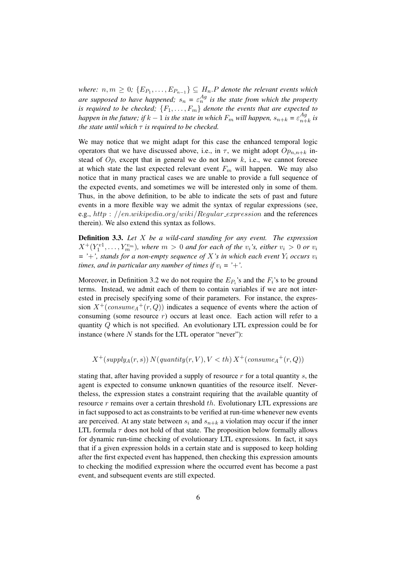where:  $n,m \geq 0$ ;  ${E_{P_1}, \ldots, E_{P_{n-1}}} \subseteq H_n.P$  *denote the relevant events which* are supposed to have happened;  $s_n = \varepsilon_n^{Ag}$  is the state from which the property *is required to be checked;*  $\{F_1, \ldots, F_m\}$  *denote the events that are expected to happen in the future; if*  $k - 1$  *is the state in which*  $F_m$  *will happen,*  $s_{n+k} = \varepsilon_{n+k}^{Ag}$  $\frac{Ag}{n+k}$  is *the state until which*  $\tau$  *is required to be checked.* 

We may notice that we might adapt for this case the enhanced temporal logic operators that we have discussed above, i.e., in  $\tau$ , we might adopt  $Op_{n,n+k}$  instead of  $Op$ , except that in general we do not know  $k$ , i.e., we cannot foresee at which state the last expected relevant event  $F_m$  will happen. We may also notice that in many practical cases we are unable to provide a full sequence of the expected events, and sometimes we will be interested only in some of them. Thus, in the above definition, to be able to indicate the sets of past and future events in a more flexible way we admit the syntax of regular expressions (see, e.g., http :  $/$ /en.wikipedia.org/wiki/Regular\_expression and the references therein). We also extend this syntax as follows.

Definition 3.3. *Let* X *be a wild-card standing for any event. The expression*  $X^+(Y^{\nu 1}_1,\ldots,Y^{\nu m}_m)$ , where  $m>0$  and for each of the  $v_i$ 's, either  $v_i>0$  or  $v_i$  $=$   $i+$ , *stands for a non-empty sequence of* X's in which each event  $Y_i$  *occurs*  $v_i$ *times, and in particular any number of times if*  $v_i = '+'$ .

Moreover, in Definition 3.2 we do not require the  $E_{P_i}$ 's and the  $F_i$ 's to be ground terms. Instead, we admit each of them to contain variables if we are not interested in precisely specifying some of their parameters. For instance, the expression  $X^+(consume_A^+(r,Q))$  indicates a sequence of events where the action of consuming (some resource  $r$ ) occurs at least once. Each action will refer to a quantity Q which is not specified. An evolutionary LTL expression could be for instance (where  $N$  stands for the LTL operator "never"):

$$
X^+(supply_A(r, s)) N(quantity(r, V), V < th) X^+(consume_A^+(r, Q))
$$

stating that, after having provided a supply of resource  $r$  for a total quantity  $s$ , the agent is expected to consume unknown quantities of the resource itself. Nevertheless, the expression states a constraint requiring that the available quantity of resource r remains over a certain threshold th. Evolutionary LTL expressions are in fact supposed to act as constraints to be verified at run-time whenever new events are perceived. At any state between  $s_i$  and  $s_{n+k}$  a violation may occur if the inner LTL formula  $\tau$  does not hold of that state. The proposition below formally allows for dynamic run-time checking of evolutionary LTL expressions. In fact, it says that if a given expression holds in a certain state and is supposed to keep holding after the first expected event has happened, then checking this expression amounts to checking the modified expression where the occurred event has become a past event, and subsequent events are still expected.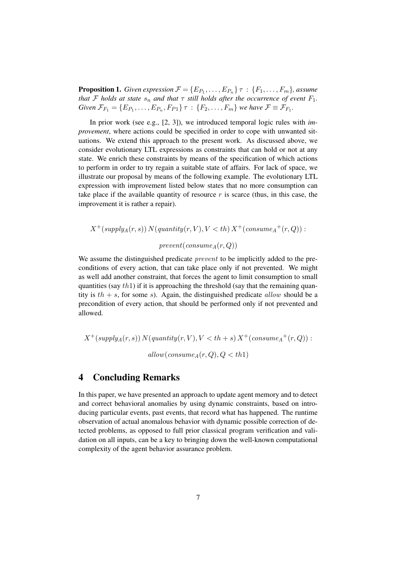**Proposition 1.** *Given expression*  $\mathcal{F} = \{E_{P_1}, \ldots, E_{P_n}\}\tau$  :  $\{F_1, \ldots, F_m\}$ , assume *that* F *holds at state*  $s_n$  *and that*  $\tau$  *still holds after the occurrence of event*  $F_1$ *. Given*  $\mathcal{F}_{F_1} = \{E_{P_1}, \ldots, E_{P_n}, F_{P1}\}\,\tau \,:\, \{F_2, \ldots, F_m\}$  we have  $\mathcal{F} \equiv \mathcal{F}_{F_1}$ .

In prior work (see e.g., [2, 3]), we introduced temporal logic rules with *improvement*, where actions could be specified in order to cope with unwanted situations. We extend this approach to the present work. As discussed above, we consider evolutionary LTL expressions as constraints that can hold or not at any state. We enrich these constraints by means of the specification of which actions to perform in order to try regain a suitable state of affairs. For lack of space, we illustrate our proposal by means of the following example. The evolutionary LTL expression with improvement listed below states that no more consumption can take place if the available quantity of resource  $r$  is scarce (thus, in this case, the improvement it is rather a repair).

 $X^+(supply_A(r, s)) N(quantity(r, V), V < th) X^+(consume_A^+(r, Q))$ :

prevent(consume  $_A(r, Q)$ )

We assume the distinguished predicate *prevent* to be implicitly added to the preconditions of every action, that can take place only if not prevented. We might as well add another constraint, that forces the agent to limit consumption to small quantities (say  $th1$ ) if it is approaching the threshold (say that the remaining quantity is  $th + s$ , for some s). Again, the distinguished predicate allow should be a precondition of every action, that should be performed only if not prevented and allowed.

$$
X^+(supply_A(r, s)) N(quantity(r, V), V < th + s) X^+(cosume_A^+(r, Q)) :
$$
  
allow(cosume\_A(r, Q), Q < th1)

## 4 Concluding Remarks

In this paper, we have presented an approach to update agent memory and to detect and correct behavioral anomalies by using dynamic constraints, based on introducing particular events, past events, that record what has happened. The runtime observation of actual anomalous behavior with dynamic possible correction of detected problems, as opposed to full prior classical program verification and validation on all inputs, can be a key to bringing down the well-known computational complexity of the agent behavior assurance problem.